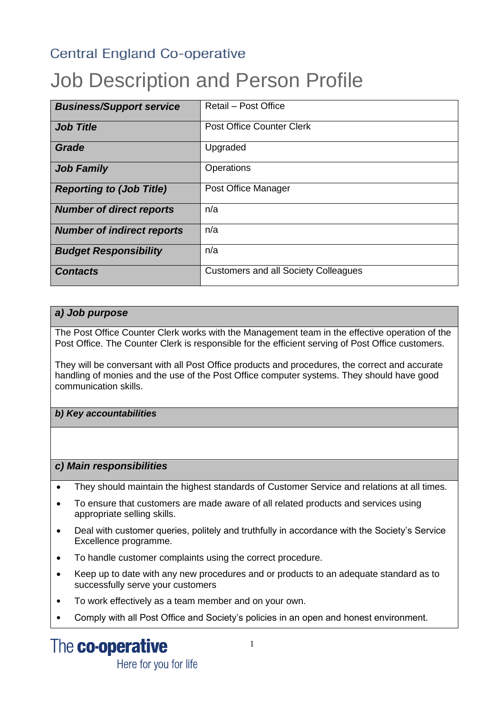### **Central England Co-operative**

# Job Description and Person Profile

| <b>Business/Support service</b>   | Retail - Post Office                        |
|-----------------------------------|---------------------------------------------|
|                                   |                                             |
| <b>Job Title</b>                  | <b>Post Office Counter Clerk</b>            |
|                                   |                                             |
| Grade                             | Upgraded                                    |
| <b>Job Family</b>                 | Operations                                  |
| <b>Reporting to (Job Title)</b>   | Post Office Manager                         |
| <b>Number of direct reports</b>   | n/a                                         |
| <b>Number of indirect reports</b> | n/a                                         |
| <b>Budget Responsibility</b>      | n/a                                         |
| <b>Contacts</b>                   | <b>Customers and all Society Colleagues</b> |

#### *a) Job purpose*

The Post Office Counter Clerk works with the Management team in the effective operation of the Post Office. The Counter Clerk is responsible for the efficient serving of Post Office customers.

They will be conversant with all Post Office products and procedures, the correct and accurate handling of monies and the use of the Post Office computer systems. They should have good communication skills.

*b) Key accountabilities*

#### *c) Main responsibilities*

- They should maintain the highest standards of Customer Service and relations at all times.
- To ensure that customers are made aware of all related products and services using appropriate selling skills.
- Deal with customer queries, politely and truthfully in accordance with the Society's Service Excellence programme.
- To handle customer complaints using the correct procedure.
- Keep up to date with any new procedures and or products to an adequate standard as to successfully serve your customers
- To work effectively as a team member and on your own.
- Comply with all Post Office and Society's policies in an open and honest environment.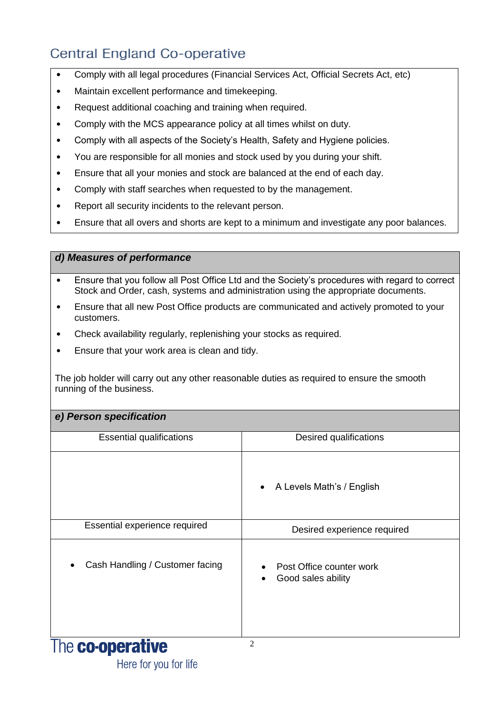# Central England Co-operative

- Comply with all legal procedures (Financial Services Act, Official Secrets Act, etc)
- Maintain excellent performance and timekeeping.
- Request additional coaching and training when required.
- Comply with the MCS appearance policy at all times whilst on duty.
- Comply with all aspects of the Society's Health, Safety and Hygiene policies.
- You are responsible for all monies and stock used by you during your shift.
- Ensure that all your monies and stock are balanced at the end of each day.
- Comply with staff searches when requested to by the management.
- Report all security incidents to the relevant person.
- Ensure that all overs and shorts are kept to a minimum and investigate any poor balances.

#### *d) Measures of performance*

- Ensure that you follow all Post Office Ltd and the Society's procedures with regard to correct Stock and Order, cash, systems and administration using the appropriate documents.
- Ensure that all new Post Office products are communicated and actively promoted to your customers.
- Check availability regularly, replenishing your stocks as required.
- Ensure that your work area is clean and tidy.

The job holder will carry out any other reasonable duties as required to ensure the smooth running of the business.

|  | e) Person specification |
|--|-------------------------|
|--|-------------------------|

| <b>Essential qualifications</b> | Desired qualifications                              |
|---------------------------------|-----------------------------------------------------|
|                                 | A Levels Math's / English<br>$\bullet$              |
| Essential experience required   | Desired experience required                         |
| Cash Handling / Customer facing | Post Office counter work<br>Good sales ability<br>٠ |
| The <b>co-operative</b>         | $\overline{c}$                                      |